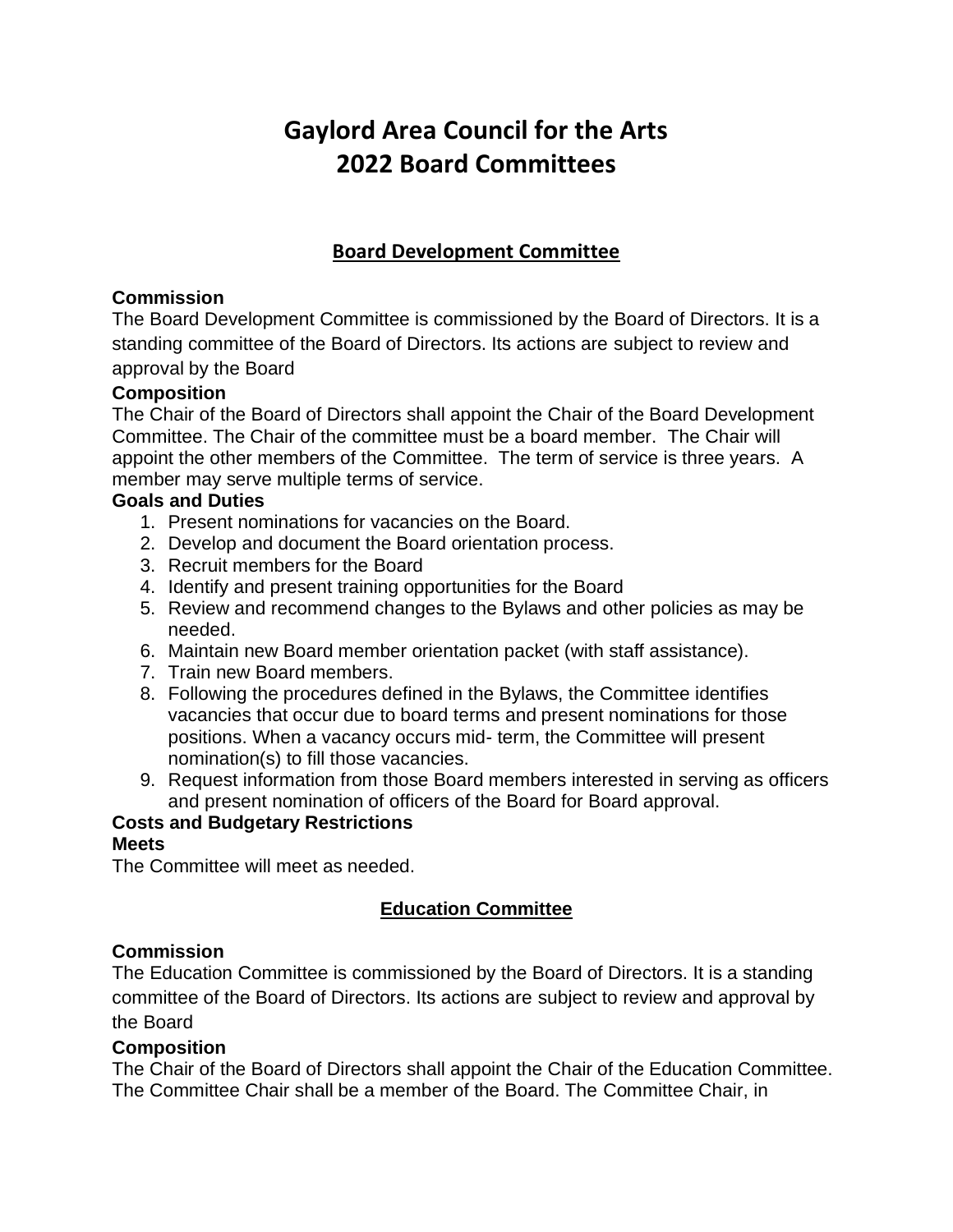# **Gaylord Area Council for the Arts 2022 Board Committees**

# **Board Development Committee**

## **Commission**

The Board Development Committee is commissioned by the Board of Directors. It is a standing committee of the Board of Directors. Its actions are subject to review and approval by the Board

#### **Composition**

The Chair of the Board of Directors shall appoint the Chair of the Board Development Committee. The Chair of the committee must be a board member. The Chair will appoint the other members of the Committee. The term of service is three years. A member may serve multiple terms of service.

#### **Goals and Duties**

- 1. Present nominations for vacancies on the Board.
- 2. Develop and document the Board orientation process.
- 3. Recruit members for the Board
- 4. Identify and present training opportunities for the Board
- 5. Review and recommend changes to the Bylaws and other policies as may be needed.
- 6. Maintain new Board member orientation packet (with staff assistance).
- 7. Train new Board members.
- 8. Following the procedures defined in the Bylaws, the Committee identifies vacancies that occur due to board terms and present nominations for those positions. When a vacancy occurs mid- term, the Committee will present nomination(s) to fill those vacancies.
- 9. Request information from those Board members interested in serving as officers and present nomination of officers of the Board for Board approval.

## **Costs and Budgetary Restrictions**

#### **Meets**

The Committee will meet as needed.

# **Education Committee**

## **Commission**

The Education Committee is commissioned by the Board of Directors. It is a standing committee of the Board of Directors. Its actions are subject to review and approval by the Board

#### **Composition**

The Chair of the Board of Directors shall appoint the Chair of the Education Committee. The Committee Chair shall be a member of the Board. The Committee Chair, in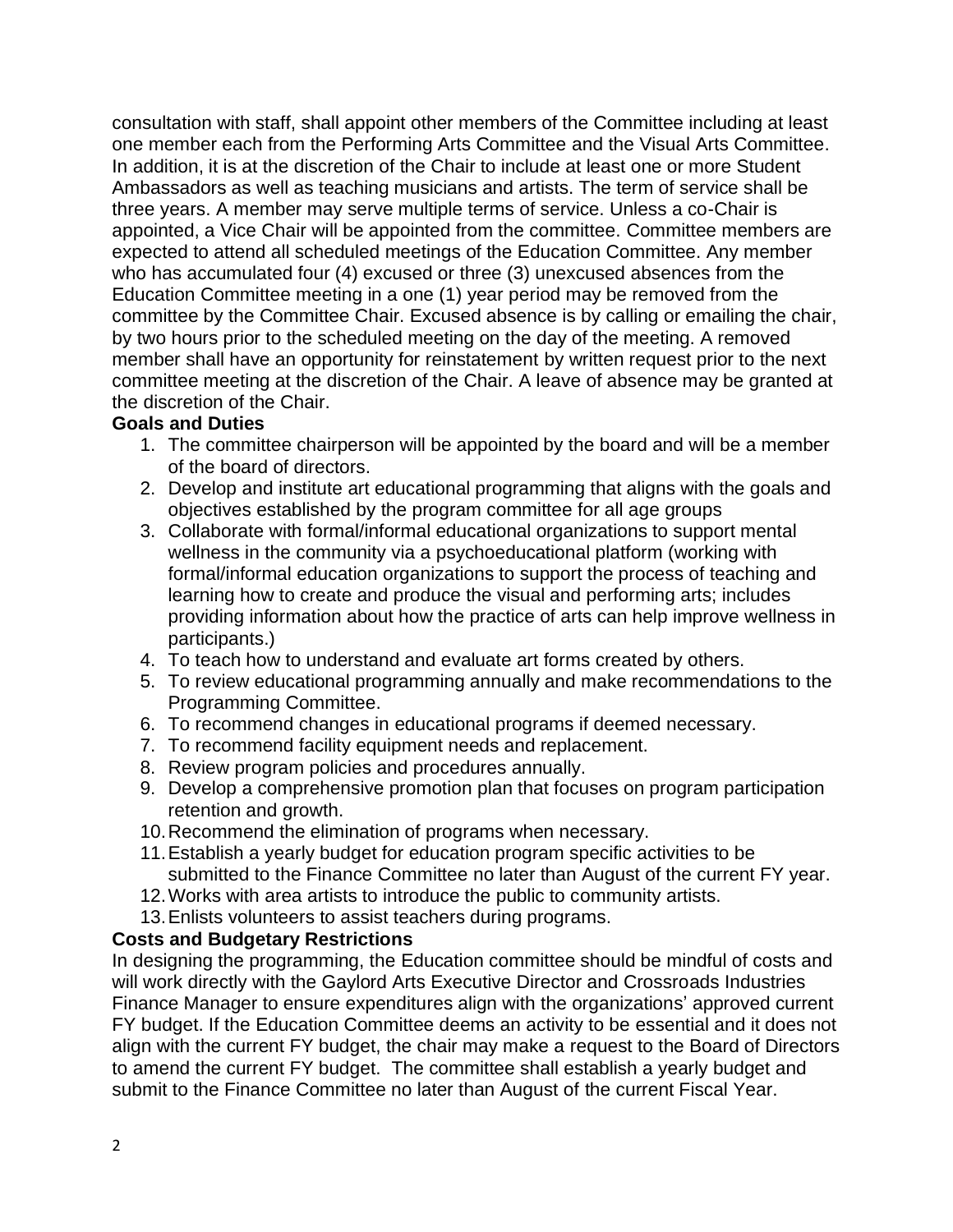consultation with staff, shall appoint other members of the Committee including at least one member each from the Performing Arts Committee and the Visual Arts Committee. In addition, it is at the discretion of the Chair to include at least one or more Student Ambassadors as well as teaching musicians and artists. The term of service shall be three years. A member may serve multiple terms of service. Unless a co-Chair is appointed, a Vice Chair will be appointed from the committee. Committee members are expected to attend all scheduled meetings of the Education Committee. Any member who has accumulated four (4) excused or three (3) unexcused absences from the Education Committee meeting in a one (1) year period may be removed from the committee by the Committee Chair. Excused absence is by calling or emailing the chair, by two hours prior to the scheduled meeting on the day of the meeting. A removed member shall have an opportunity for reinstatement by written request prior to the next committee meeting at the discretion of the Chair. A leave of absence may be granted at the discretion of the Chair.

## **Goals and Duties**

- 1. The committee chairperson will be appointed by the board and will be a member of the board of directors.
- 2. Develop and institute art educational programming that aligns with the goals and objectives established by the program committee for all age groups
- 3. Collaborate with formal/informal educational organizations to support mental wellness in the community via a psychoeducational platform (working with formal/informal education organizations to support the process of teaching and learning how to create and produce the visual and performing arts; includes providing information about how the practice of arts can help improve wellness in participants.)
- 4. To teach how to understand and evaluate art forms created by others.
- 5. To review educational programming annually and make recommendations to the Programming Committee.
- 6. To recommend changes in educational programs if deemed necessary.
- 7. To recommend facility equipment needs and replacement.
- 8. Review program policies and procedures annually.
- 9. Develop a comprehensive promotion plan that focuses on program participation retention and growth.
- 10.Recommend the elimination of programs when necessary.
- 11.Establish a yearly budget for education program specific activities to be submitted to the Finance Committee no later than August of the current FY year.
- 12.Works with area artists to introduce the public to community artists.
- 13.Enlists volunteers to assist teachers during programs.

# **Costs and Budgetary Restrictions**

In designing the programming, the Education committee should be mindful of costs and will work directly with the Gaylord Arts Executive Director and Crossroads Industries Finance Manager to ensure expenditures align with the organizations' approved current FY budget. If the Education Committee deems an activity to be essential and it does not align with the current FY budget, the chair may make a request to the Board of Directors to amend the current FY budget. The committee shall establish a yearly budget and submit to the Finance Committee no later than August of the current Fiscal Year.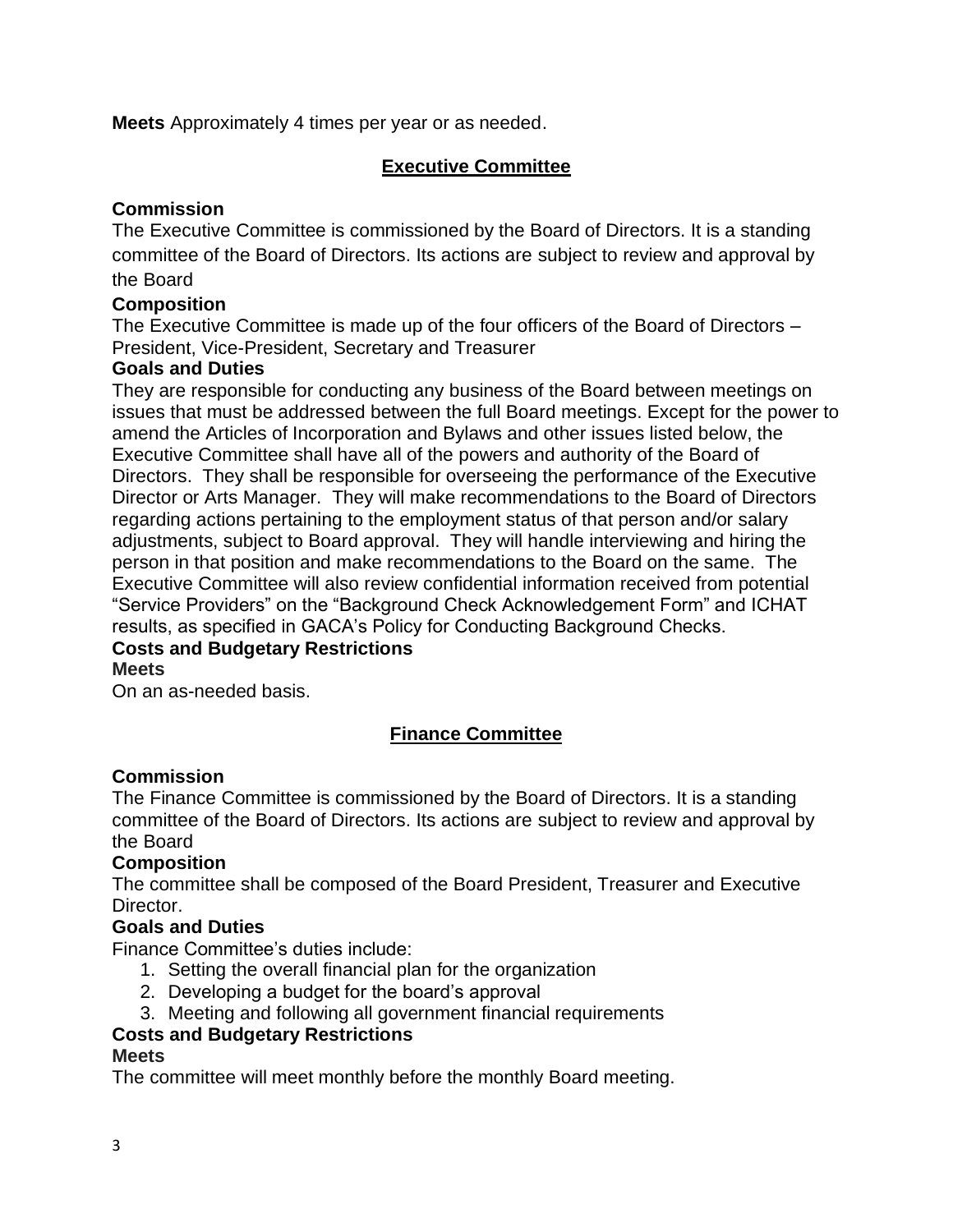**Meets** Approximately 4 times per year or as needed.

#### **Executive Committee**

#### **Commission**

The Executive Committee is commissioned by the Board of Directors. It is a standing committee of the Board of Directors. Its actions are subject to review and approval by the Board

# **Composition**

The Executive Committee is made up of the four officers of the Board of Directors – President, Vice-President, Secretary and Treasurer

#### **Goals and Duties**

They are responsible for conducting any business of the Board between meetings on issues that must be addressed between the full Board meetings. Except for the power to amend the Articles of Incorporation and Bylaws and other issues listed below, the Executive Committee shall have all of the powers and authority of the Board of Directors. They shall be responsible for overseeing the performance of the Executive Director or Arts Manager. They will make recommendations to the Board of Directors regarding actions pertaining to the employment status of that person and/or salary adjustments, subject to Board approval. They will handle interviewing and hiring the person in that position and make recommendations to the Board on the same. The Executive Committee will also review confidential information received from potential "Service Providers" on the "Background Check Acknowledgement Form" and ICHAT results, as specified in GACA's Policy for Conducting Background Checks.

#### **Costs and Budgetary Restrictions Meets**

On an as-needed basis.

## **Finance Committee**

#### **Commission**

The Finance Committee is commissioned by the Board of Directors. It is a standing committee of the Board of Directors. Its actions are subject to review and approval by the Board

#### **Composition**

The committee shall be composed of the Board President, Treasurer and Executive Director.

#### **Goals and Duties**

Finance Committee's duties include:

- 1. Setting the overall financial plan for the organization
- 2. Developing a budget for the board's approval
- 3. Meeting and following all government financial requirements

#### **Costs and Budgetary Restrictions**

#### **Meets**

The committee will meet monthly before the monthly Board meeting.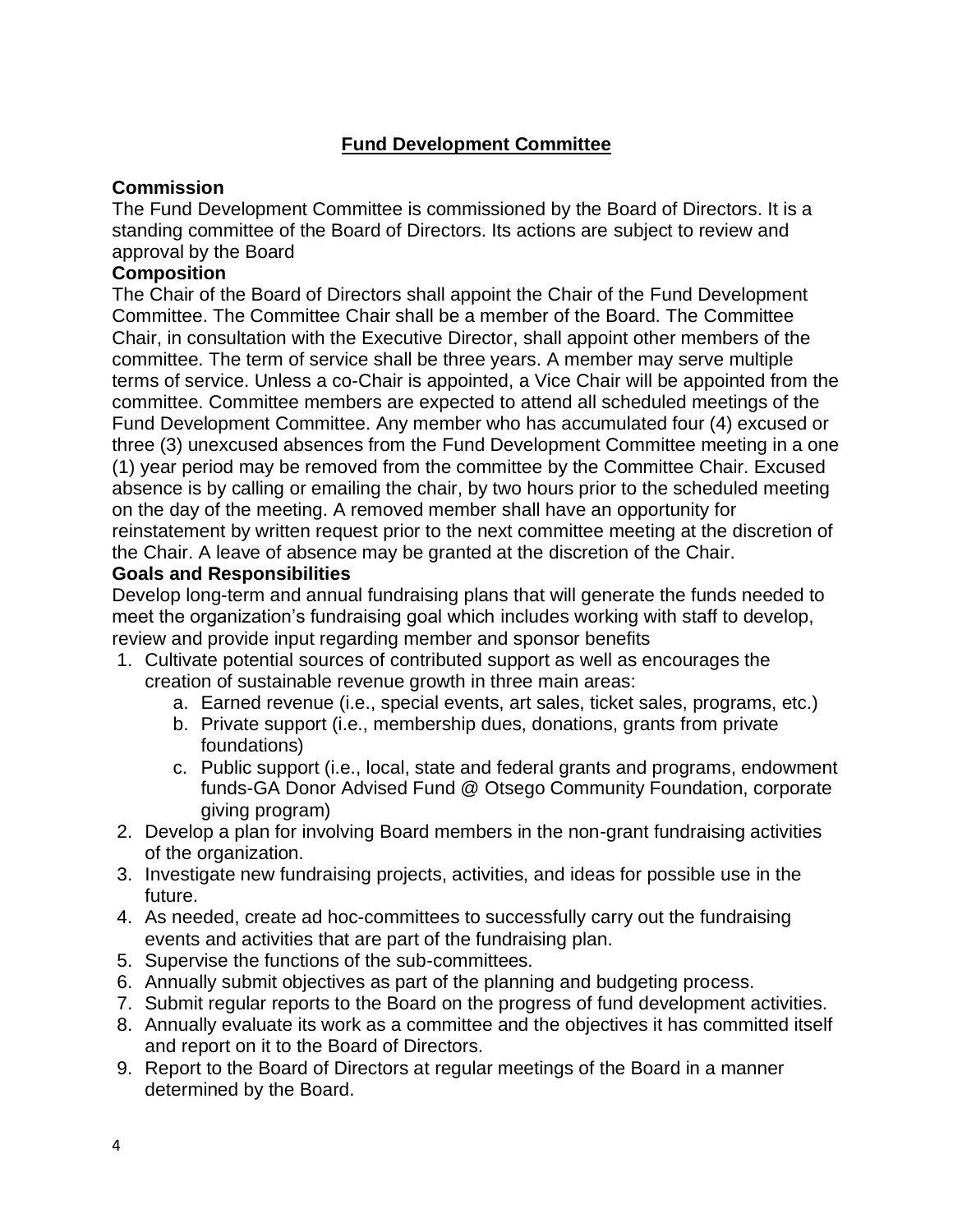# **Fund Development Committee**

#### **Commission**

The Fund Development Committee is commissioned by the Board of Directors. It is a standing committee of the Board of Directors. Its actions are subject to review and approval by the Board

#### **Composition**

The Chair of the Board of Directors shall appoint the Chair of the Fund Development Committee. The Committee Chair shall be a member of the Board. The Committee Chair, in consultation with the Executive Director, shall appoint other members of the committee. The term of service shall be three years. A member may serve multiple terms of service. Unless a co-Chair is appointed, a Vice Chair will be appointed from the committee. Committee members are expected to attend all scheduled meetings of the Fund Development Committee. Any member who has accumulated four (4) excused or three (3) unexcused absences from the Fund Development Committee meeting in a one (1) year period may be removed from the committee by the Committee Chair. Excused absence is by calling or emailing the chair, by two hours prior to the scheduled meeting on the day of the meeting. A removed member shall have an opportunity for reinstatement by written request prior to the next committee meeting at the discretion of the Chair. A leave of absence may be granted at the discretion of the Chair.

#### **Goals and Responsibilities**

Develop long-term and annual fundraising plans that will generate the funds needed to meet the organization's fundraising goal which includes working with staff to develop, review and provide input regarding member and sponsor benefits

- 1. Cultivate potential sources of contributed support as well as encourages the creation of sustainable revenue growth in three main areas:
	- a. Earned revenue (i.e., special events, art sales, ticket sales, programs, etc.)
	- b. Private support (i.e., membership dues, donations, grants from private foundations)
	- c. Public support (i.e., local, state and federal grants and programs, endowment funds-GA Donor Advised Fund @ Otsego Community Foundation, corporate giving program)
- 2. Develop a plan for involving Board members in the non-grant fundraising activities of the organization.
- 3. Investigate new fundraising projects, activities, and ideas for possible use in the future.
- 4. As needed, create ad hoc-committees to successfully carry out the fundraising events and activities that are part of the fundraising plan.
- 5. Supervise the functions of the sub-committees.
- 6. Annually submit objectives as part of the planning and budgeting process.
- 7. Submit regular reports to the Board on the progress of fund development activities.
- 8. Annually evaluate its work as a committee and the objectives it has committed itself and report on it to the Board of Directors.
- 9. Report to the Board of Directors at regular meetings of the Board in a manner determined by the Board.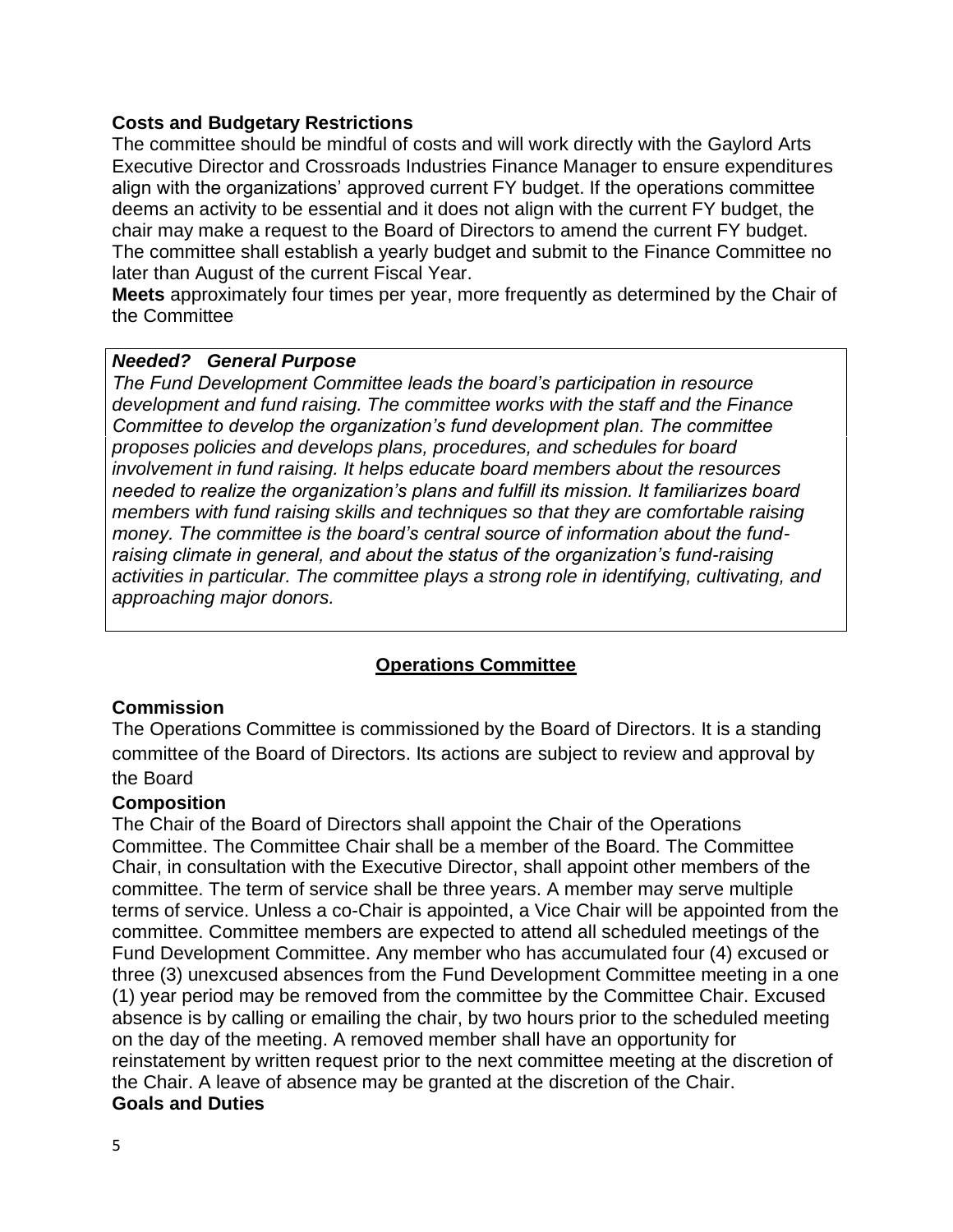#### **Costs and Budgetary Restrictions**

The committee should be mindful of costs and will work directly with the Gaylord Arts Executive Director and Crossroads Industries Finance Manager to ensure expenditures align with the organizations' approved current FY budget. If the operations committee deems an activity to be essential and it does not align with the current FY budget, the chair may make a request to the Board of Directors to amend the current FY budget. The committee shall establish a yearly budget and submit to the Finance Committee no later than August of the current Fiscal Year.

**Meets** approximately four times per year, more frequently as determined by the Chair of the Committee

#### *Needed? General Purpose*

*The Fund Development Committee leads the board's participation in resource development and fund raising. The committee works with the staff and the Finance Committee to develop the organization's fund development plan. The committee proposes policies and develops plans, procedures, and schedules for board involvement in fund raising. It helps educate board members about the resources needed to realize the organization's plans and fulfill its mission. It familiarizes board members with fund raising skills and techniques so that they are comfortable raising money. The committee is the board's central source of information about the fundraising climate in general, and about the status of the organization's fund-raising activities in particular. The committee plays a strong role in identifying, cultivating, and approaching major donors.* 

#### **Operations Committee**

#### **Commission**

The Operations Committee is commissioned by the Board of Directors. It is a standing committee of the Board of Directors. Its actions are subject to review and approval by the Board

#### **Composition**

The Chair of the Board of Directors shall appoint the Chair of the Operations Committee. The Committee Chair shall be a member of the Board. The Committee Chair, in consultation with the Executive Director, shall appoint other members of the committee. The term of service shall be three years. A member may serve multiple terms of service. Unless a co-Chair is appointed, a Vice Chair will be appointed from the committee. Committee members are expected to attend all scheduled meetings of the Fund Development Committee. Any member who has accumulated four (4) excused or three (3) unexcused absences from the Fund Development Committee meeting in a one (1) year period may be removed from the committee by the Committee Chair. Excused absence is by calling or emailing the chair, by two hours prior to the scheduled meeting on the day of the meeting. A removed member shall have an opportunity for reinstatement by written request prior to the next committee meeting at the discretion of the Chair. A leave of absence may be granted at the discretion of the Chair. **Goals and Duties**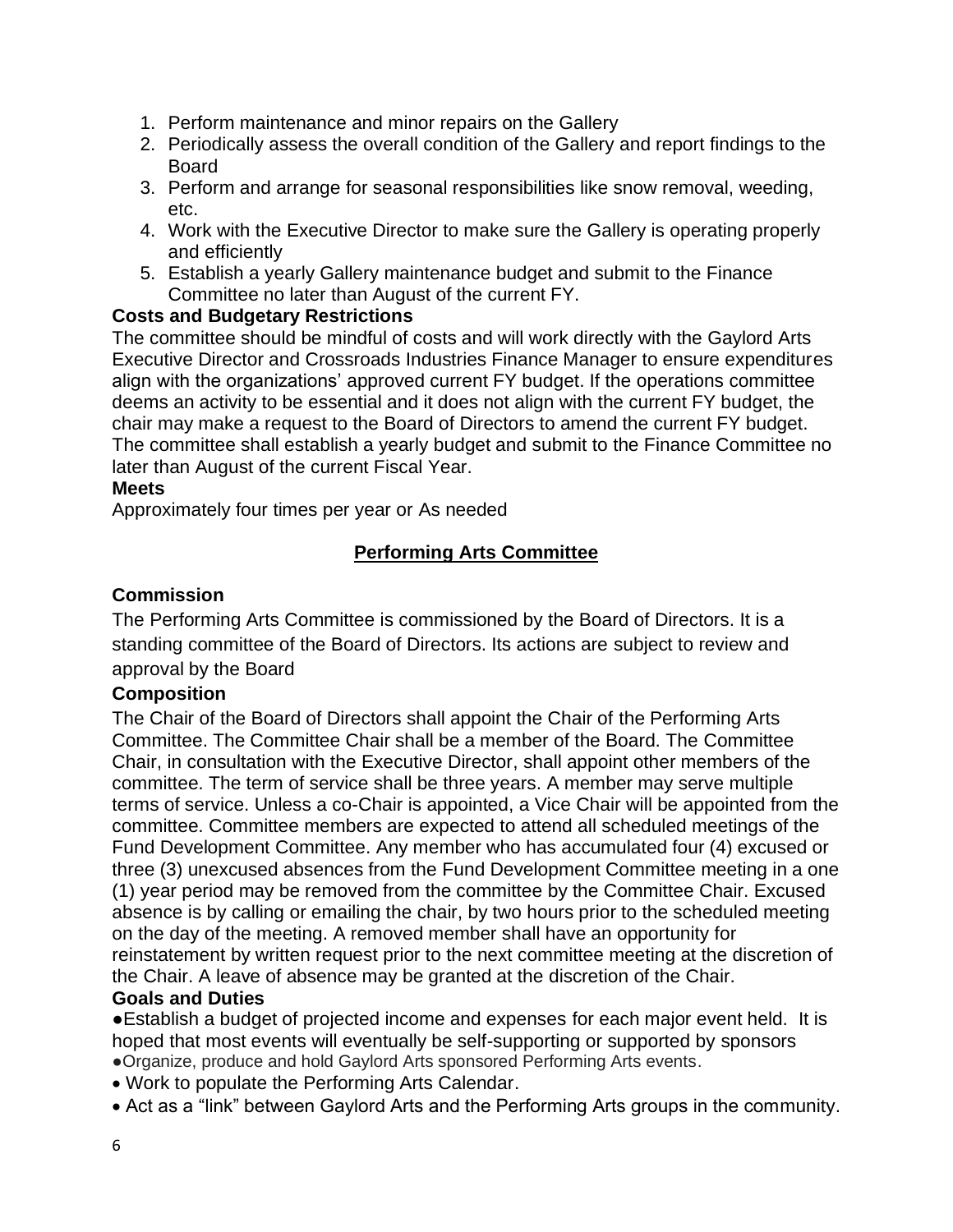- 1. Perform maintenance and minor repairs on the Gallery
- 2. Periodically assess the overall condition of the Gallery and report findings to the Board
- 3. Perform and arrange for seasonal responsibilities like snow removal, weeding, etc.
- 4. Work with the Executive Director to make sure the Gallery is operating properly and efficiently
- 5. Establish a yearly Gallery maintenance budget and submit to the Finance Committee no later than August of the current FY.

## **Costs and Budgetary Restrictions**

The committee should be mindful of costs and will work directly with the Gaylord Arts Executive Director and Crossroads Industries Finance Manager to ensure expenditures align with the organizations' approved current FY budget. If the operations committee deems an activity to be essential and it does not align with the current FY budget, the chair may make a request to the Board of Directors to amend the current FY budget. The committee shall establish a yearly budget and submit to the Finance Committee no later than August of the current Fiscal Year.

#### **Meets**

Approximately four times per year or As needed

# **Performing Arts Committee**

#### **Commission**

The Performing Arts Committee is commissioned by the Board of Directors. It is a standing committee of the Board of Directors. Its actions are subject to review and approval by the Board

## **Composition**

The Chair of the Board of Directors shall appoint the Chair of the Performing Arts Committee. The Committee Chair shall be a member of the Board. The Committee Chair, in consultation with the Executive Director, shall appoint other members of the committee. The term of service shall be three years. A member may serve multiple terms of service. Unless a co-Chair is appointed, a Vice Chair will be appointed from the committee. Committee members are expected to attend all scheduled meetings of the Fund Development Committee. Any member who has accumulated four (4) excused or three (3) unexcused absences from the Fund Development Committee meeting in a one (1) year period may be removed from the committee by the Committee Chair. Excused absence is by calling or emailing the chair, by two hours prior to the scheduled meeting on the day of the meeting. A removed member shall have an opportunity for reinstatement by written request prior to the next committee meeting at the discretion of the Chair. A leave of absence may be granted at the discretion of the Chair.

#### **Goals and Duties**

●Establish a budget of projected income and expenses for each major event held. It is hoped that most events will eventually be self-supporting or supported by sponsors ●Organize, produce and hold Gaylord Arts sponsored Performing Arts events.

- Work to populate the Performing Arts Calendar.
- Act as a "link" between Gaylord Arts and the Performing Arts groups in the community.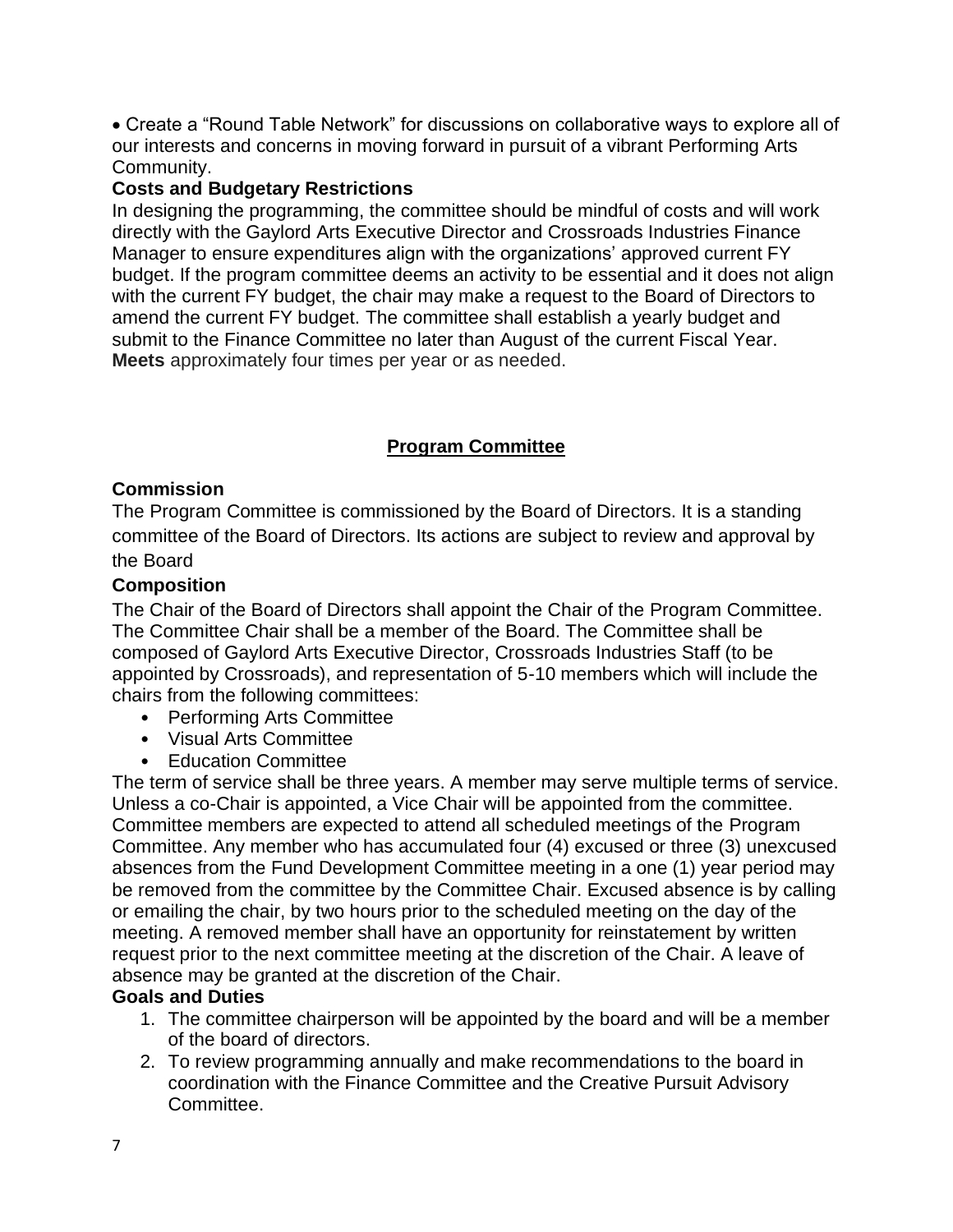• Create a "Round Table Network" for discussions on collaborative ways to explore all of our interests and concerns in moving forward in pursuit of a vibrant Performing Arts Community.

#### **Costs and Budgetary Restrictions**

In designing the programming, the committee should be mindful of costs and will work directly with the Gaylord Arts Executive Director and Crossroads Industries Finance Manager to ensure expenditures align with the organizations' approved current FY budget. If the program committee deems an activity to be essential and it does not align with the current FY budget, the chair may make a request to the Board of Directors to amend the current FY budget. The committee shall establish a yearly budget and submit to the Finance Committee no later than August of the current Fiscal Year. **Meets** approximately four times per year or as needed.

# **Program Committee**

## **Commission**

The Program Committee is commissioned by the Board of Directors. It is a standing committee of the Board of Directors. Its actions are subject to review and approval by the Board

#### **Composition**

The Chair of the Board of Directors shall appoint the Chair of the Program Committee. The Committee Chair shall be a member of the Board. The Committee shall be composed of Gaylord Arts Executive Director, Crossroads Industries Staff (to be appointed by Crossroads), and representation of 5-10 members which will include the chairs from the following committees:

- Performing Arts Committee
- Visual Arts Committee
- Education Committee

The term of service shall be three years. A member may serve multiple terms of service. Unless a co-Chair is appointed, a Vice Chair will be appointed from the committee. Committee members are expected to attend all scheduled meetings of the Program Committee. Any member who has accumulated four (4) excused or three (3) unexcused absences from the Fund Development Committee meeting in a one (1) year period may be removed from the committee by the Committee Chair. Excused absence is by calling or emailing the chair, by two hours prior to the scheduled meeting on the day of the meeting. A removed member shall have an opportunity for reinstatement by written request prior to the next committee meeting at the discretion of the Chair. A leave of absence may be granted at the discretion of the Chair.

#### **Goals and Duties**

- 1. The committee chairperson will be appointed by the board and will be a member of the board of directors.
- 2. To review programming annually and make recommendations to the board in coordination with the Finance Committee and the Creative Pursuit Advisory Committee.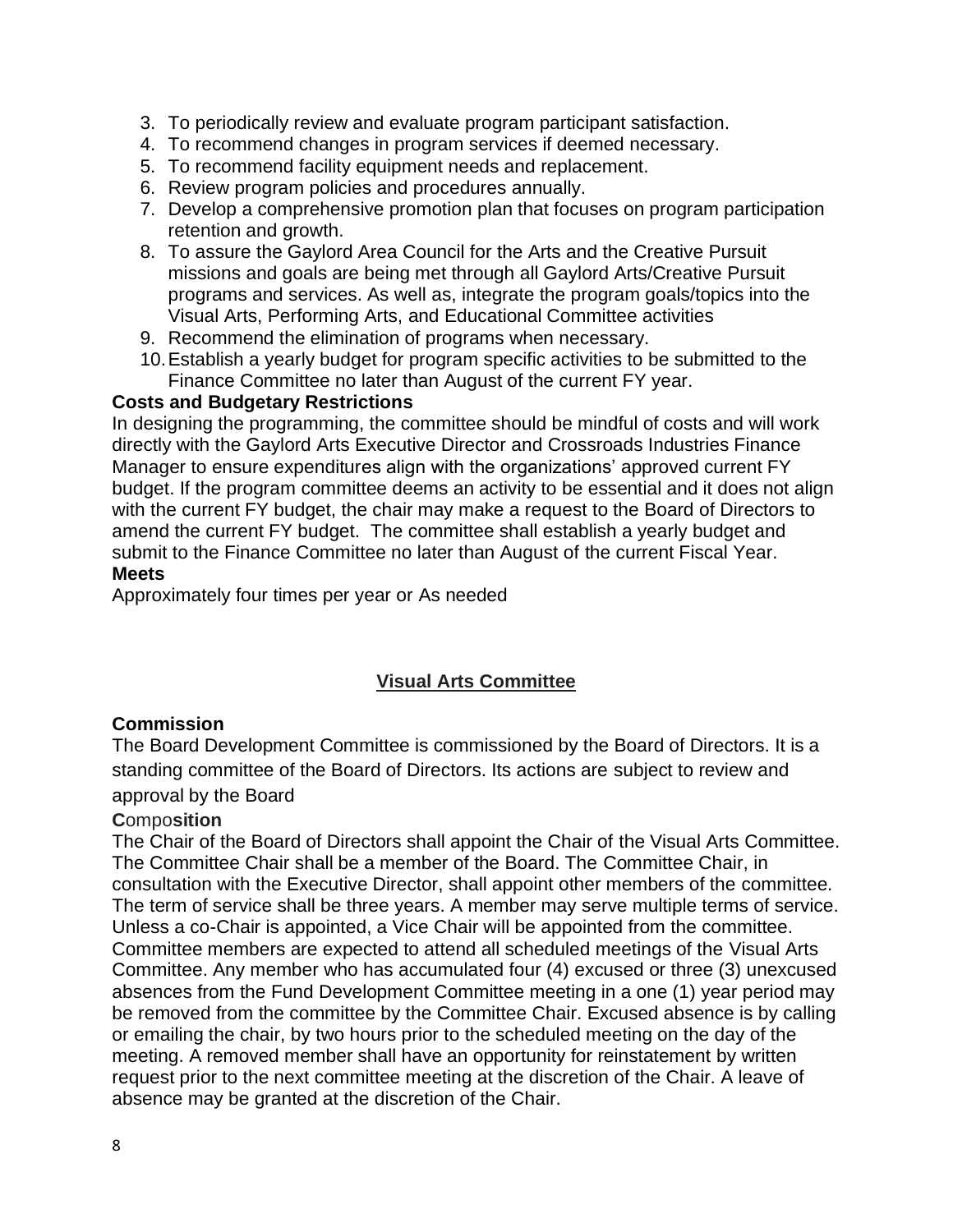- 3. To periodically review and evaluate program participant satisfaction.
- 4. To recommend changes in program services if deemed necessary.
- 5. To recommend facility equipment needs and replacement.
- 6. Review program policies and procedures annually.
- 7. Develop a comprehensive promotion plan that focuses on program participation retention and growth.
- 8. To assure the Gaylord Area Council for the Arts and the Creative Pursuit missions and goals are being met through all Gaylord Arts/Creative Pursuit programs and services. As well as, integrate the program goals/topics into the Visual Arts, Performing Arts, and Educational Committee activities
- 9. Recommend the elimination of programs when necessary.
- 10.Establish a yearly budget for program specific activities to be submitted to the Finance Committee no later than August of the current FY year.

#### **Costs and Budgetary Restrictions**

In designing the programming, the committee should be mindful of costs and will work directly with the Gaylord Arts Executive Director and Crossroads Industries Finance Manager to ensure expenditures align with the organizations' approved current FY budget. If the program committee deems an activity to be essential and it does not align with the current FY budget, the chair may make a request to the Board of Directors to amend the current FY budget. The committee shall establish a yearly budget and submit to the Finance Committee no later than August of the current Fiscal Year. **Meets** 

Approximately four times per year or As needed

## **Visual Arts Committee**

#### **Commission**

The Board Development Committee is commissioned by the Board of Directors. It is a standing committee of the Board of Directors. Its actions are subject to review and approval by the Board

## **C**ompo**sition**

The Chair of the Board of Directors shall appoint the Chair of the Visual Arts Committee. The Committee Chair shall be a member of the Board. The Committee Chair, in consultation with the Executive Director, shall appoint other members of the committee. The term of service shall be three years. A member may serve multiple terms of service. Unless a co-Chair is appointed, a Vice Chair will be appointed from the committee. Committee members are expected to attend all scheduled meetings of the Visual Arts Committee. Any member who has accumulated four (4) excused or three (3) unexcused absences from the Fund Development Committee meeting in a one (1) year period may be removed from the committee by the Committee Chair. Excused absence is by calling or emailing the chair, by two hours prior to the scheduled meeting on the day of the meeting. A removed member shall have an opportunity for reinstatement by written request prior to the next committee meeting at the discretion of the Chair. A leave of absence may be granted at the discretion of the Chair.